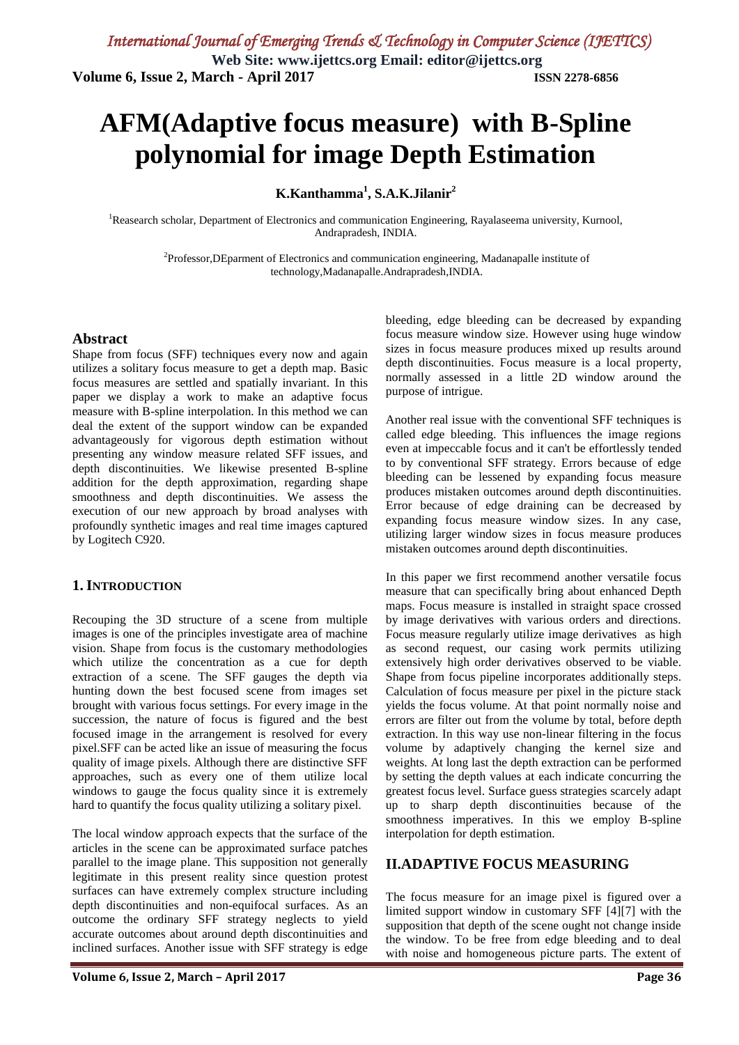# **AFM(Adaptive focus measure) with B-Spline polynomial for image Depth Estimation**

**K.Kanthamma<sup>1</sup> , S.A.K.Jilanir 2**

<sup>1</sup>Reasearch scholar, Department of Electronics and communication Engineering, Rayalaseema university, Kurnool, Andrapradesh, INDIA.

> <sup>2</sup>Professor, DEparment of Electronics and communication engineering, Madanapalle institute of technology,Madanapalle.Andrapradesh,INDIA.

### **Abstract**

Shape from focus (SFF) techniques every now and again utilizes a solitary focus measure to get a depth map. Basic focus measures are settled and spatially invariant. In this paper we display a work to make an adaptive focus measure with B-spline interpolation. In this method we can deal the extent of the support window can be expanded advantageously for vigorous depth estimation without presenting any window measure related SFF issues, and depth discontinuities. We likewise presented B-spline addition for the depth approximation, regarding shape smoothness and depth discontinuities. We assess the execution of our new approach by broad analyses with profoundly synthetic images and real time images captured by Logitech C920.

### **1. INTRODUCTION**

Recouping the 3D structure of a scene from multiple images is one of the principles investigate area of machine vision. Shape from focus is the customary methodologies which utilize the concentration as a cue for depth extraction of a scene. The SFF gauges the depth via hunting down the best focused scene from images set brought with various focus settings. For every image in the succession, the nature of focus is figured and the best focused image in the arrangement is resolved for every pixel.SFF can be acted like an issue of measuring the focus quality of image pixels. Although there are distinctive SFF approaches, such as every one of them utilize local windows to gauge the focus quality since it is extremely hard to quantify the focus quality utilizing a solitary pixel.

The local window approach expects that the surface of the articles in the scene can be approximated surface patches parallel to the image plane. This supposition not generally legitimate in this present reality since question protest surfaces can have extremely complex structure including depth discontinuities and non-equifocal surfaces. As an outcome the ordinary SFF strategy neglects to yield accurate outcomes about around depth discontinuities and inclined surfaces. Another issue with SFF strategy is edge

bleeding, edge bleeding can be decreased by expanding focus measure window size. However using huge window sizes in focus measure produces mixed up results around depth discontinuities. Focus measure is a local property, normally assessed in a little 2D window around the purpose of intrigue.

Another real issue with the conventional SFF techniques is called edge bleeding. This influences the image regions even at impeccable focus and it can't be effortlessly tended to by conventional SFF strategy. Errors because of edge bleeding can be lessened by expanding focus measure produces mistaken outcomes around depth discontinuities. Error because of edge draining can be decreased by expanding focus measure window sizes. In any case, utilizing larger window sizes in focus measure produces mistaken outcomes around depth discontinuities.

In this paper we first recommend another versatile focus measure that can specifically bring about enhanced Depth maps. Focus measure is installed in straight space crossed by image derivatives with various orders and directions. Focus measure regularly utilize image derivatives as high as second request, our casing work permits utilizing extensively high order derivatives observed to be viable. Shape from focus pipeline incorporates additionally steps. Calculation of focus measure per pixel in the picture stack yields the focus volume. At that point normally noise and errors are filter out from the volume by total, before depth extraction. In this way use non-linear filtering in the focus volume by adaptively changing the kernel size and weights. At long last the depth extraction can be performed by setting the depth values at each indicate concurring the greatest focus level. Surface guess strategies scarcely adapt up to sharp depth discontinuities because of the smoothness imperatives. In this we employ B-spline interpolation for depth estimation.

### **II.ADAPTIVE FOCUS MEASURING**

The focus measure for an image pixel is figured over a limited support window in customary SFF [4][7] with the supposition that depth of the scene ought not change inside the window. To be free from edge bleeding and to deal with noise and homogeneous picture parts. The extent of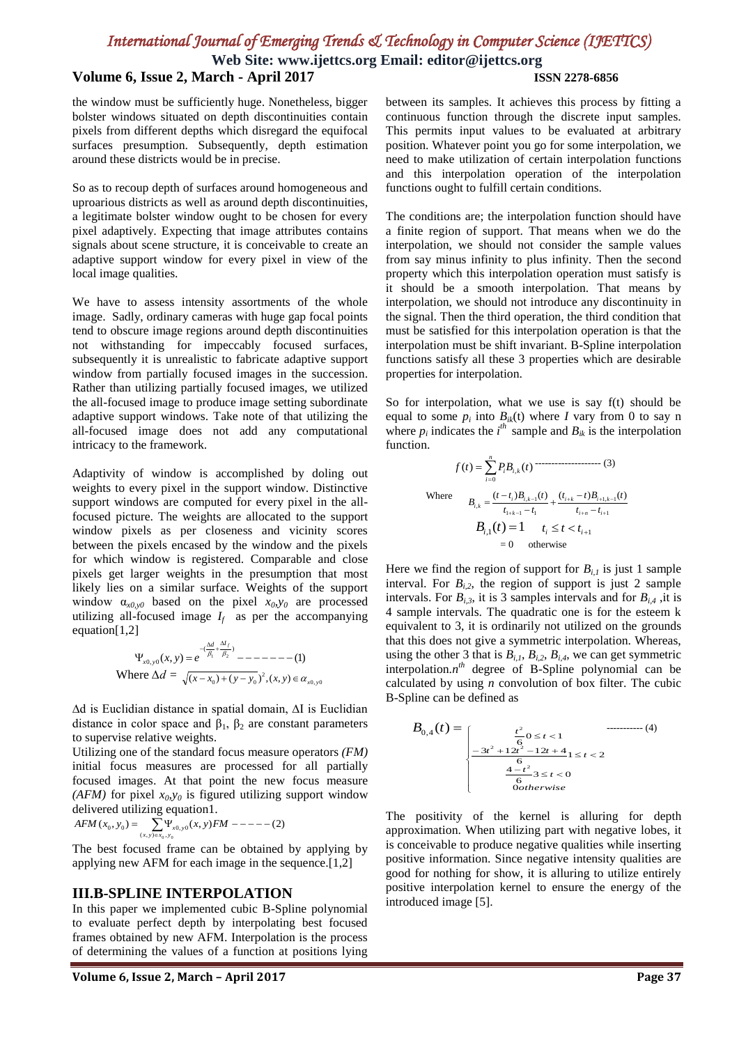# *International Journal of Emerging Trends & Technology in Computer Science (IJETTCS)*

**Web Site: www.ijettcs.org Email: editor@ijettcs.org**

### **Volume 6, Issue 2, March - April 2017 ISSN 2278-6856**

the window must be sufficiently huge. Nonetheless, bigger bolster windows situated on depth discontinuities contain pixels from different depths which disregard the equifocal surfaces presumption. Subsequently, depth estimation around these districts would be in precise.

So as to recoup depth of surfaces around homogeneous and uproarious districts as well as around depth discontinuities, a legitimate bolster window ought to be chosen for every pixel adaptively. Expecting that image attributes contains signals about scene structure, it is conceivable to create an adaptive support window for every pixel in view of the local image qualities.

We have to assess intensity assortments of the whole image. Sadly, ordinary cameras with huge gap focal points tend to obscure image regions around depth discontinuities not withstanding for impeccably focused surfaces, subsequently it is unrealistic to fabricate adaptive support window from partially focused images in the succession. Rather than utilizing partially focused images, we utilized the all-focused image to produce image setting subordinate adaptive support windows. Take note of that utilizing the all-focused image does not add any computational intricacy to the framework.

Adaptivity of window is accomplished by doling out weights to every pixel in the support window. Distinctive support windows are computed for every pixel in the allfocused picture. The weights are allocated to the support window pixels as per closeness and vicinity scores between the pixels encased by the window and the pixels for which window is registered. Comparable and close pixels get larger weights in the presumption that most likely lies on a similar surface. Weights of the support window  $\alpha_{x0,y0}$  based on the pixel  $x_0, y_0$  are processed utilizing all-focused image  $I_f$  as per the accompanying equation[1,2]

$$
\Psi_{x0,y0}(x,y) = e^{-\left(\frac{\Delta d}{\beta_1} + \frac{\Delta f}{\beta_2}\right)} - \dots - \dots - \dots - (1)
$$
  
Where  $\Delta d = \sqrt{(x - x_0) + (y - y_0)^2}, (x, y) \in \alpha_{x0,y0}$ 

∆d is Euclidian distance in spatial domain, ∆I is Euclidian distance in color space and  $β_1$ ,  $β_2$  are constant parameters to supervise relative weights.

Utilizing one of the standard focus measure operators *(FM)* initial focus measures are processed for all partially focused images. At that point the new focus measure *(AFM)* for pixel  $x_0, y_0$  is figured utilizing support window delivered utilizing equation1.

$$
AFM(x_0, y_0) = \sum_{(x, y) \in x_0, y_0} \prod_{y, y_0} (x, y)FM - \cdots - (2)
$$

The best focused frame can be obtained by applying by applying new AFM for each image in the sequence.[1,2]

### **III.B-SPLINE INTERPOLATION**

In this paper we implemented cubic B-Spline polynomial to evaluate perfect depth by interpolating best focused frames obtained by new AFM. Interpolation is the process of determining the values of a function at positions lying

between its samples. It achieves this process by fitting a continuous function through the discrete input samples. This permits input values to be evaluated at arbitrary position. Whatever point you go for some interpolation, we need to make utilization of certain interpolation functions and this interpolation operation of the interpolation functions ought to fulfill certain conditions.

The conditions are; the interpolation function should have a finite region of support. That means when we do the interpolation, we should not consider the sample values from say minus infinity to plus infinity. Then the second property which this interpolation operation must satisfy is it should be a smooth interpolation. That means by interpolation, we should not introduce any discontinuity in the signal. Then the third operation, the third condition that must be satisfied for this interpolation operation is that the interpolation must be shift invariant. B-Spline interpolation functions satisfy all these 3 properties which are desirable properties for interpolation.

So for interpolation, what we use is say f(t) should be equal to some  $p_i$  into  $B_{ik}(t)$  where *I* vary from 0 to say n where  $p_i$  indicates the  $i^h$  sample and  $B_{ik}$  is the interpolation function.

$$
f(t) = \sum_{i=0}^{n} P_{i}B_{i,k}(t)
$$
\n
$$
\text{Where}
$$
\n
$$
B_{i,k} = \frac{(t - t_{i})B_{i,k-1}(t)}{t_{1+k-1} - t_{1}} + \frac{(t_{i+k} - t)B_{i+1,k-1}(t)}{t_{i+n} - t_{i+1}}
$$
\n
$$
B_{i,1}(t) = 1 \qquad t_{i} \le t < t_{i+1}
$$
\n
$$
= 0 \qquad \text{otherwise}
$$

Here we find the region of support for  $B_{i,l}$  is just 1 sample interval. For  $B_{i,2}$ , the region of support is just 2 sample intervals. For  $B_{i,3}$ , it is 3 samples intervals and for  $B_{i,4}$ , it is 4 sample intervals. The quadratic one is for the esteem k equivalent to 3, it is ordinarily not utilized on the grounds that this does not give a symmetric interpolation. Whereas, using the other 3 that is  $B_{i,1}$ ,  $B_{i,2}$ ,  $B_{i,4}$ , we can get symmetric interpolation. $n^{th}$  degree of B-Spline polynomial can be calculated by using *n* convolution of box filter. The cubic B-Spline can be defined as

$$
B_{0,4}(t) = \begin{cases} \frac{t^2}{6} 0 \le t < 1 & \text{...} \tag{4} \\ \frac{-3t^2 + 12t^2 - 12t + 4}{6} 1 \le t < 2 \\ \frac{4 - t^2}{6} 3 \le t < 0 \\ \frac{4 - t^2}{6} 3 \le t < 0 \end{cases}
$$

The positivity of the kernel is alluring for depth approximation. When utilizing part with negative lobes, it is conceivable to produce negative qualities while inserting positive information. Since negative intensity qualities are good for nothing for show, it is alluring to utilize entirely positive interpolation kernel to ensure the energy of the introduced image [5].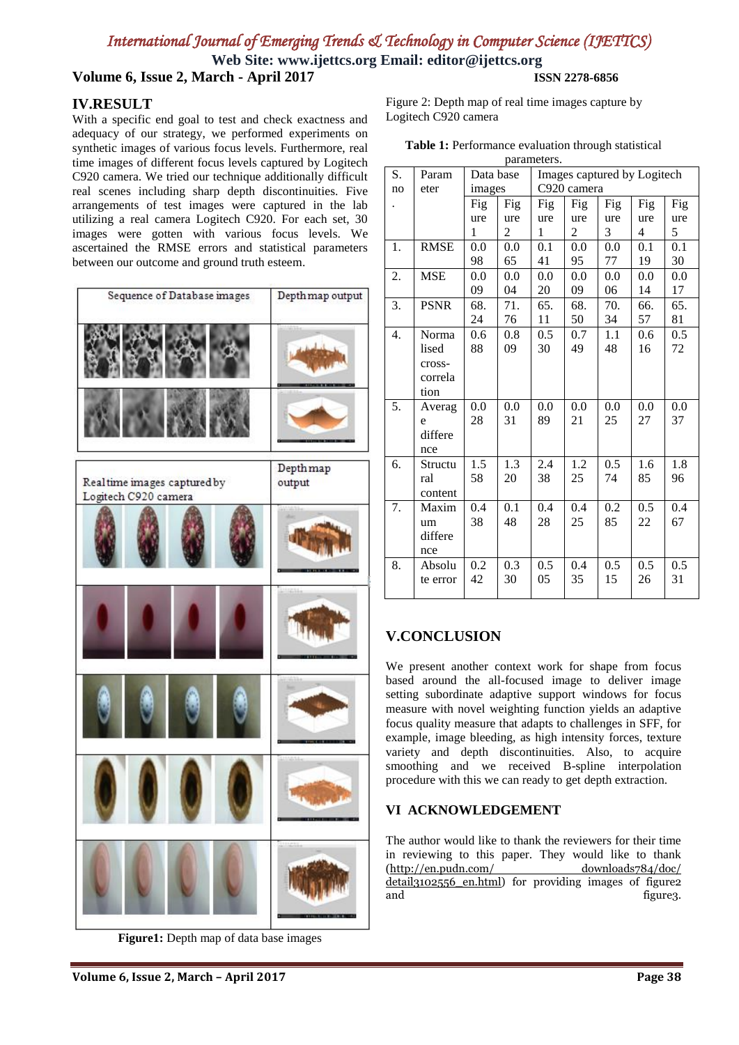# *International Journal of Emerging Trends & Technology in Computer Science (IJETTCS)*

**Web Site: www.ijettcs.org Email: editor@ijettcs.org**

**Volume 6, Issue 2, March - April 2017 ISSN 2278-6856**

### **IV.RESULT**

With a specific end goal to test and check exactness and adequacy of our strategy, we performed experiments on synthetic images of various focus levels. Furthermore, real time images of different focus levels captured by Logitech C920 camera. We tried our technique additionally difficult real scenes including sharp depth discontinuities. Five arrangements of test images were captured in the lab utilizing a real camera Logitech C920. For each set, 30 images were gotten with various focus levels. We ascertained the RMSE errors and statistical parameters between our outcome and ground truth esteem.

| Sequence of Database images                         | Depth map output   |
|-----------------------------------------------------|--------------------|
|                                                     |                    |
|                                                     |                    |
| Realtime images captured by<br>Logitech C920 camera | Depthmap<br>output |
|                                                     |                    |
|                                                     |                    |
|                                                     |                    |
|                                                     |                    |
|                                                     |                    |

**Figure1:** Depth map of data base images

Figure 2: Depth map of real time images capture by Logitech C920 camera

| Table 1: Performance evaluation through statistical |  |  |  |
|-----------------------------------------------------|--|--|--|
|-----------------------------------------------------|--|--|--|

| parameters. |             |           |                |                             |                |     |                |     |  |
|-------------|-------------|-----------|----------------|-----------------------------|----------------|-----|----------------|-----|--|
| S.          | Param       | Data base |                | Images captured by Logitech |                |     |                |     |  |
| no          | eter        | images    |                | C920 camera                 |                |     |                |     |  |
|             |             | Fig       | Fig            | Fig                         | Fig            | Fig | Fig            | Fig |  |
|             |             | ure       | ure            | ure                         | ure            | ure | ure            | ure |  |
|             |             | 1         | $\overline{c}$ | 1                           | $\overline{c}$ | 3   | $\overline{4}$ | 5   |  |
| 1.          | <b>RMSE</b> | 0.0       | 0.0            | 0.1                         | 0.0            | 0.0 | 0.1            | 0.1 |  |
|             |             | 98        | 65             | 41                          | 95             | 77  | 19             | 30  |  |
| 2.          | <b>MSE</b>  | 0.0       | 0.0            | 0.0                         | 0.0            | 0.0 | 0.0            | 0.0 |  |
|             |             | 09        | 04             | 20                          | 09             | 06  | 14             | 17  |  |
| 3.          | <b>PSNR</b> | 68.       | 71.            | 65.                         | 68.            | 70. | 66.            | 65. |  |
|             |             | 24        | 76             | 11                          | 50             | 34  | 57             | 81  |  |
| 4.          | Norma       | 0.6       | 0.8            | $0.5\,$                     | 0.7            | 1.1 | 0.6            | 0.5 |  |
|             | lised       | 88        | 09             | 30                          | 49             | 48  | 16             | 72  |  |
|             | cross-      |           |                |                             |                |     |                |     |  |
|             | correla     |           |                |                             |                |     |                |     |  |
|             | tion        |           |                |                             |                |     |                |     |  |
| 5.          | Averag      | 0.0       | 0.0            | 0.0                         | 0.0            | 0.0 | 0.0            | 0.0 |  |
|             | e           | 28        | 31             | 89                          | 21             | 25  | 27             | 37  |  |
|             | differe     |           |                |                             |                |     |                |     |  |
|             | nce         |           |                |                             |                |     |                |     |  |
| 6.          | Structu     | 1.5       | 1.3            | 2.4                         | 1.2            | 0.5 | 1.6            | 1.8 |  |
|             | ral         | 58        | 20             | 38                          | 25             | 74  | 85             | 96  |  |
|             | content     |           |                |                             |                |     |                |     |  |
| 7.          | Maxim       | 0.4       | 0.1            | 0.4                         | 0.4            | 0.2 | 0.5            | 0.4 |  |
|             | um          | 38        | 48             | 28                          | 25             | 85  | 22             | 67  |  |
|             | differe     |           |                |                             |                |     |                |     |  |
|             | nce         |           |                |                             |                |     |                |     |  |
| 8.          | Absolu      | 0.2       | 0.3            | 0.5                         | 0.4            | 0.5 | 0.5            | 0.5 |  |
|             | te error    | 42        | 30             | 05                          | 35             | 15  | 26             | 31  |  |
|             |             |           |                |                             |                |     |                |     |  |

### **V.CONCLUSION**

We present another context work for shape from focus based around the all-focused image to deliver image setting subordinate adaptive support windows for focus measure with novel weighting function yields an adaptive focus quality measure that adapts to challenges in SFF, for example, image bleeding, as high intensity forces, texture variety and depth discontinuities. Also, to acquire smoothing and we received B-spline interpolation procedure with this we can ready to get depth extraction.

### **VI ACKNOWLEDGEMENT**

The author would like to thank the reviewers for their time in reviewing to this paper. They would like to thank ([http://en.pudn.com/ downloads784/doc/](http://en.pudn.com/downloads784/doc/detail3102556_en.html)  [detail3102556\\_en.html\)](http://en.pudn.com/downloads784/doc/detail3102556_en.html) for providing images of figure2 and figure 3.